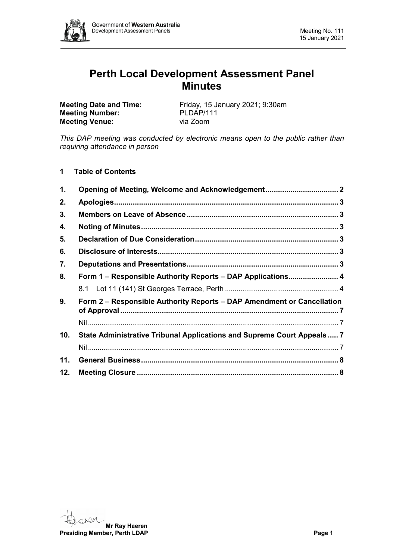

# **Perth Local Development Assessment Panel Minutes**

**Meeting Number:** PLDAP/11<br> **Meeting Venue:** via Zoom **Meeting Venue:** 

**Meeting Date and Time:** Friday, 15 January 2021; 9:30am<br> **Meeting Number:** PLDAP/111

*This DAP meeting was conducted by electronic means open to the public rather than requiring attendance in person*

# **1 Table of Contents**

| 1.  |                                                                         |  |
|-----|-------------------------------------------------------------------------|--|
| 2.  |                                                                         |  |
| 3.  |                                                                         |  |
| 4.  |                                                                         |  |
| 5.  |                                                                         |  |
| 6.  |                                                                         |  |
| 7.  |                                                                         |  |
| 8.  | Form 1 – Responsible Authority Reports – DAP Applications 4             |  |
|     |                                                                         |  |
| 9.  | Form 2 – Responsible Authority Reports – DAP Amendment or Cancellation  |  |
|     |                                                                         |  |
| 10. | State Administrative Tribunal Applications and Supreme Court Appeals  7 |  |
|     |                                                                         |  |
| 11. |                                                                         |  |
| 12. |                                                                         |  |

 $QM$ **Mr Ray Haeren Presiding Member, Perth LDAP Page 1**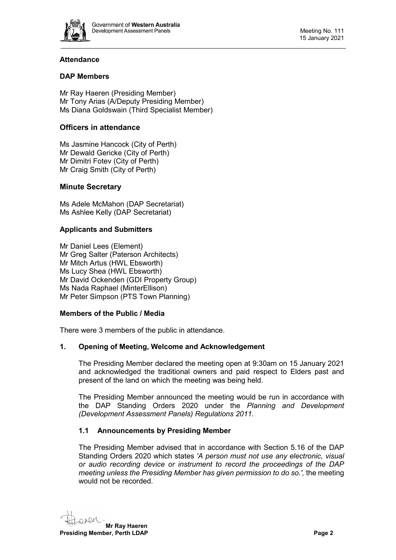

# **Attendance**

# **DAP Members**

Mr Ray Haeren (Presiding Member) Mr Tony Arias (A/Deputy Presiding Member) Ms Diana Goldswain (Third Specialist Member)

# **Officers in attendance**

Ms Jasmine Hancock (City of Perth) Mr Dewald Gericke (City of Perth) Mr Dimitri Fotev (City of Perth) Mr Craig Smith (City of Perth)

# **Minute Secretary**

Ms Adele McMahon (DAP Secretariat) Ms Ashlee Kelly (DAP Secretariat)

# **Applicants and Submitters**

Mr Daniel Lees (Element) Mr Greg Salter (Paterson Architects) Mr Mitch Artus (HWL Ebsworth) Ms Lucy Shea (HWL Ebsworth) Mr David Ockenden (GDI Property Group) Ms Nada Raphael (MinterEllison) Mr Peter Simpson (PTS Town Planning)

# **Members of the Public / Media**

There were 3 members of the public in attendance.

# <span id="page-1-0"></span>**1. Opening of Meeting, Welcome and Acknowledgement**

The Presiding Member declared the meeting open at 9:30am on 15 January 2021 and acknowledged the traditional owners and paid respect to Elders past and present of the land on which the meeting was being held.

The Presiding Member announced the meeting would be run in accordance with the DAP Standing Orders 2020 under the *Planning and Development (Development Assessment Panels) Regulations 2011.*

# **1.1 Announcements by Presiding Member**

The Presiding Member advised that in accordance with Section 5.16 of the DAP Standing Orders 2020 which states *'A person must not use any electronic, visual or audio recording device or instrument to record the proceedings of the DAP meeting unless the Presiding Member has given permission to do so.',* the meeting would not be recorded.

**Mr Ray Haeren Presiding Member, Perth LDAP Page 2 Page 2**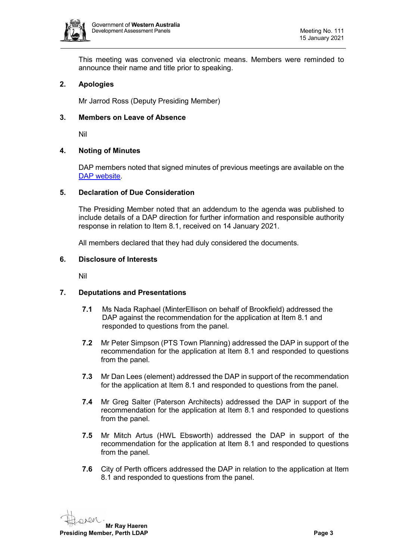

This meeting was convened via electronic means. Members were reminded to announce their name and title prior to speaking.

# <span id="page-2-0"></span>**2. Apologies**

Mr Jarrod Ross (Deputy Presiding Member)

### <span id="page-2-1"></span>**3. Members on Leave of Absence**

Nil

### <span id="page-2-2"></span>**4. Noting of Minutes**

DAP members noted that signed minutes of previous meetings are available on the [DAP website.](https://www.dplh.wa.gov.au/about/development-assessment-panels/daps-agendas-and-minutes)

#### <span id="page-2-3"></span>**5. Declaration of Due Consideration**

The Presiding Member noted that an addendum to the agenda was published to include details of a DAP direction for further information and responsible authority response in relation to Item 8.1, received on 14 January 2021.

All members declared that they had duly considered the documents.

#### <span id="page-2-4"></span>**6. Disclosure of Interests**

<span id="page-2-5"></span>Nil

#### **7. Deputations and Presentations**

- **7.1** Ms Nada Raphael (MinterEllison on behalf of Brookfield) addressed the DAP against the recommendation for the application at Item 8.1 and responded to questions from the panel.
- **7.2** Mr Peter Simpson (PTS Town Planning) addressed the DAP in support of the recommendation for the application at Item 8.1 and responded to questions from the panel.
- **7.3** Mr Dan Lees (element) addressed the DAP in support of the recommendation for the application at Item 8.1 and responded to questions from the panel.
- **7.4** Mr Greg Salter (Paterson Architects) addressed the DAP in support of the recommendation for the application at Item 8.1 and responded to questions from the panel.
- **7.5** Mr Mitch Artus (HWL Ebsworth) addressed the DAP in support of the recommendation for the application at Item 8.1 and responded to questions from the panel.
- **7.6** City of Perth officers addressed the DAP in relation to the application at Item 8.1 and responded to questions from the panel.

**Mr Ray Haeren Presiding Member, Perth LDAP Page 3**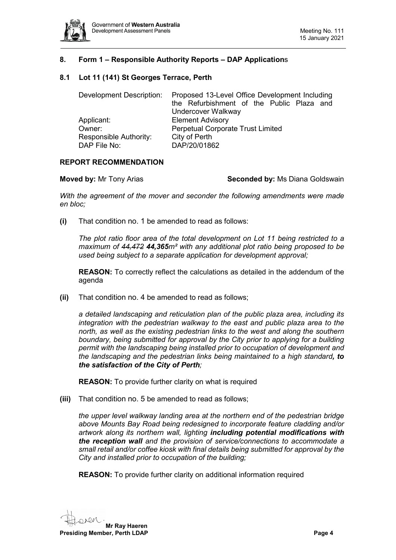

# <span id="page-3-0"></span>**8. Form 1 – Responsible Authority Reports – DAP Application**s

### <span id="page-3-1"></span>**8.1 Lot 11 (141) St Georges Terrace, Perth**

| Development Description: | Proposed 13-Level Office Development Including |
|--------------------------|------------------------------------------------|
|                          | the Refurbishment of the Public Plaza and      |
|                          | Undercover Walkway                             |
| Applicant:               | <b>Element Advisory</b>                        |
| Owner:                   | <b>Perpetual Corporate Trust Limited</b>       |
| Responsible Authority:   | City of Perth                                  |
| DAP File No:             | DAP/20/01862                                   |

### **REPORT RECOMMENDATION**

**Moved by:** Mr Tony Arias **Seconded by: Ms Diana Goldswain** 

*With the agreement of the mover and seconder the following amendments were made en bloc;*

**(i)** That condition no. 1 be amended to read as follows:

*The plot ratio floor area of the total development on Lot 11 being restricted to a maximum of 44,472 44,365m² with any additional plot ratio being proposed to be used being subject to a separate application for development approval;*

**REASON:** To correctly reflect the calculations as detailed in the addendum of the agenda

**(ii)** That condition no. 4 be amended to read as follows;

*a detailed landscaping and reticulation plan of the public plaza area, including its integration with the pedestrian walkway to the east and public plaza area to the north, as well as the existing pedestrian links to the west and along the southern boundary, being submitted for approval by the City prior to applying for a building permit with the landscaping being installed prior to occupation of development and the landscaping and the pedestrian links being maintained to a high standard, to the satisfaction of the City of Perth;*

**REASON:** To provide further clarity on what is required

**(iii)** That condition no. 5 be amended to read as follows;

*the upper level walkway landing area at the northern end of the pedestrian bridge above Mounts Bay Road being redesigned to incorporate feature cladding and/or artwork along its northern wall, lighting including potential modifications with the reception wall and the provision of service/connections to accommodate a small retail and/or coffee kiosk with final details being submitted for approval by the City and installed prior to occupation of the building;*

**REASON:** To provide further clarity on additional information required

**Mr Ray Haeren**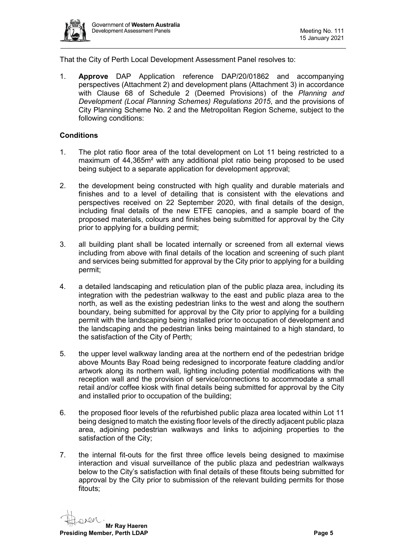

That the City of Perth Local Development Assessment Panel resolves to:

1. **Approve** DAP Application reference DAP/20/01862 and accompanying perspectives (Attachment 2) and development plans (Attachment 3) in accordance with Clause 68 of Schedule 2 (Deemed Provisions) of the *Planning and Development (Local Planning Schemes) Regulations 2015*, and the provisions of City Planning Scheme No. 2 and the Metropolitan Region Scheme, subject to the following conditions:

# **Conditions**

- 1. The plot ratio floor area of the total development on Lot 11 being restricted to a maximum of 44,365m² with any additional plot ratio being proposed to be used being subject to a separate application for development approval;
- 2. the development being constructed with high quality and durable materials and finishes and to a level of detailing that is consistent with the elevations and perspectives received on 22 September 2020, with final details of the design, including final details of the new ETFE canopies, and a sample board of the proposed materials, colours and finishes being submitted for approval by the City prior to applying for a building permit;
- 3. all building plant shall be located internally or screened from all external views including from above with final details of the location and screening of such plant and services being submitted for approval by the City prior to applying for a building permit;
- 4. a detailed landscaping and reticulation plan of the public plaza area, including its integration with the pedestrian walkway to the east and public plaza area to the north, as well as the existing pedestrian links to the west and along the southern boundary, being submitted for approval by the City prior to applying for a building permit with the landscaping being installed prior to occupation of development and the landscaping and the pedestrian links being maintained to a high standard, to the satisfaction of the City of Perth;
- 5. the upper level walkway landing area at the northern end of the pedestrian bridge above Mounts Bay Road being redesigned to incorporate feature cladding and/or artwork along its northern wall, lighting including potential modifications with the reception wall and the provision of service/connections to accommodate a small retail and/or coffee kiosk with final details being submitted for approval by the City and installed prior to occupation of the building;
- 6. the proposed floor levels of the refurbished public plaza area located within Lot 11 being designed to match the existing floor levels of the directly adjacent public plaza area, adjoining pedestrian walkways and links to adjoining properties to the satisfaction of the City;
- 7. the internal fit-outs for the first three office levels being designed to maximise interaction and visual surveillance of the public plaza and pedestrian walkways below to the City's satisfaction with final details of these fitouts being submitted for approval by the City prior to submission of the relevant building permits for those fitouts;

**Mr Ray Haeren Presiding Member, Perth LDAP Page 5**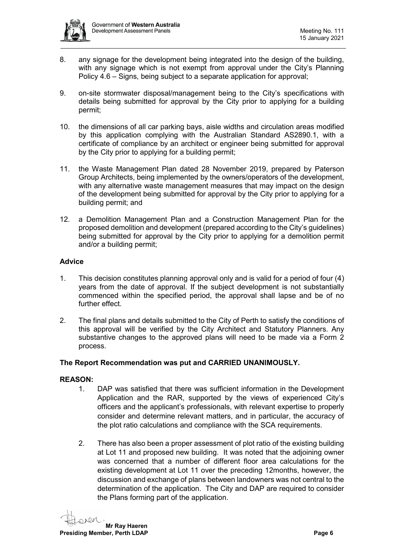

- 8. any signage for the development being integrated into the design of the building, with any signage which is not exempt from approval under the City's Planning Policy 4.6 – Signs, being subject to a separate application for approval;
- 9. on-site stormwater disposal/management being to the City's specifications with details being submitted for approval by the City prior to applying for a building permit;
- 10. the dimensions of all car parking bays, aisle widths and circulation areas modified by this application complying with the Australian Standard AS2890.1, with a certificate of compliance by an architect or engineer being submitted for approval by the City prior to applying for a building permit;
- 11. the Waste Management Plan dated 28 November 2019, prepared by Paterson Group Architects, being implemented by the owners/operators of the development, with any alternative waste management measures that may impact on the design of the development being submitted for approval by the City prior to applying for a building permit; and
- 12. a Demolition Management Plan and a Construction Management Plan for the proposed demolition and development (prepared according to the City's guidelines) being submitted for approval by the City prior to applying for a demolition permit and/or a building permit;

# **Advice**

- 1. This decision constitutes planning approval only and is valid for a period of four (4) years from the date of approval. If the subject development is not substantially commenced within the specified period, the approval shall lapse and be of no further effect.
- 2. The final plans and details submitted to the City of Perth to satisfy the conditions of this approval will be verified by the City Architect and Statutory Planners. Any substantive changes to the approved plans will need to be made via a Form 2 process.

#### **The Report Recommendation was put and CARRIED UNANIMOUSLY.**

#### **REASON:**

- 1. DAP was satisfied that there was sufficient information in the Development Application and the RAR, supported by the views of experienced City's officers and the applicant's professionals, with relevant expertise to properly consider and determine relevant matters, and in particular, the accuracy of the plot ratio calculations and compliance with the SCA requirements.
- 2. There has also been a proper assessment of plot ratio of the existing building at Lot 11 and proposed new building. It was noted that the adjoining owner was concerned that a number of different floor area calculations for the existing development at Lot 11 over the preceding 12months, however, the discussion and exchange of plans between landowners was not central to the determination of the application. The City and DAP are required to consider the Plans forming part of the application.

**Mr Ray Haeren Presiding Member, Perth LDAP Page 6**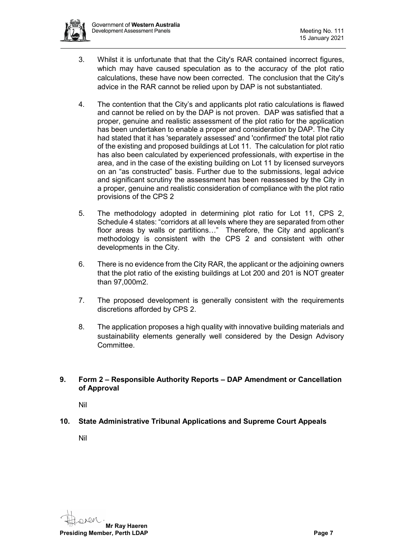

- 3. Whilst it is unfortunate that that the City's RAR contained incorrect figures, which may have caused speculation as to the accuracy of the plot ratio calculations, these have now been corrected. The conclusion that the City's advice in the RAR cannot be relied upon by DAP is not substantiated.
- 4. The contention that the City's and applicants plot ratio calculations is flawed and cannot be relied on by the DAP is not proven. DAP was satisfied that a proper, genuine and realistic assessment of the plot ratio for the application has been undertaken to enable a proper and consideration by DAP. The City had stated that it has 'separately assessed' and 'confirmed' the total plot ratio of the existing and proposed buildings at Lot 11. The calculation for plot ratio has also been calculated by experienced professionals, with expertise in the area, and in the case of the existing building on Lot 11 by licensed surveyors on an "as constructed" basis. Further due to the submissions, legal advice and significant scrutiny the assessment has been reassessed by the City in a proper, genuine and realistic consideration of compliance with the plot ratio provisions of the CPS 2
- 5. The methodology adopted in determining plot ratio for Lot 11, CPS 2, Schedule 4 states: "corridors at all levels where they are separated from other floor areas by walls or partitions…" Therefore, the City and applicant's methodology is consistent with the CPS 2 and consistent with other developments in the City.
- 6. There is no evidence from the City RAR, the applicant or the adjoining owners that the plot ratio of the existing buildings at Lot 200 and 201 is NOT greater than 97,000m2.
- 7. The proposed development is generally consistent with the requirements discretions afforded by CPS 2.
- 8. The application proposes a high quality with innovative building materials and sustainability elements generally well considered by the Design Advisory Committee.

# <span id="page-6-0"></span>**9. Form 2 – Responsible Authority Reports – DAP Amendment or Cancellation of Approval**

Nil

<span id="page-6-3"></span><span id="page-6-2"></span><span id="page-6-1"></span>**10. State Administrative Tribunal Applications and Supreme Court Appeals**

<span id="page-6-4"></span>Nil

**Mr Ray Haeren Presiding Member, Perth LDAP Page 7 Page 7 Page 7**